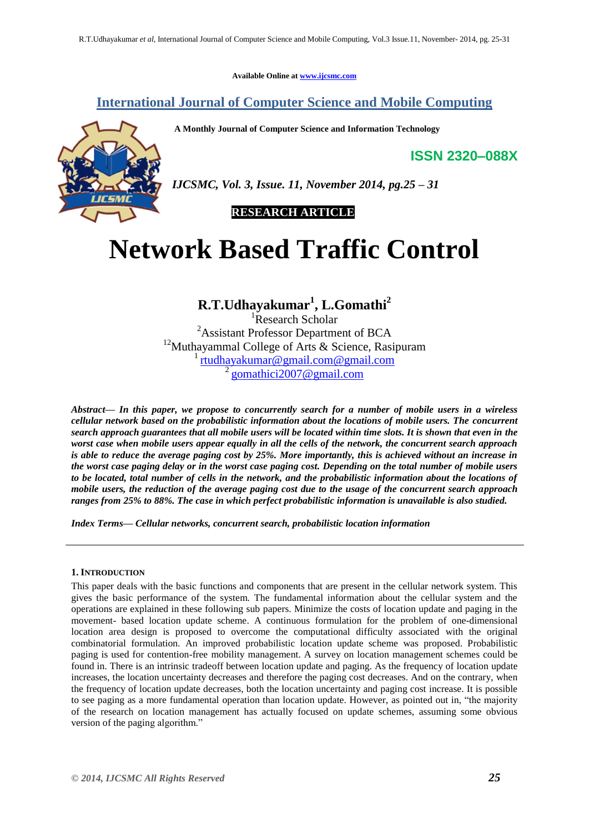**Available Online at [www.ijcsmc.com](http://www.ijcsmc.com/)**

# **International Journal of Computer Science and Mobile Computing**

**A Monthly Journal of Computer Science and Information Technology**

**ISSN 2320–088X**



*IJCSMC, Vol. 3, Issue. 11, November 2014, pg.25 – 31*



# **Network Based Traffic Control**

# **R.T.Udhayakumar<sup>1</sup> , L.Gomathi<sup>2</sup>**

<sup>1</sup>Research Scholar <sup>2</sup>Assistant Professor Department of BCA <sup>12</sup>Muthayammal College of Arts & Science, Rasipuram <sup>1</sup> [rtudhayakumar@gmail.com@gmail.com](mailto:rtudhayakumar@gmail.com@gmail.com) <sup>2</sup> gomathici2007@gmail.com

*Abstract— In this paper, we propose to concurrently search for a number of mobile users in a wireless cellular network based on the probabilistic information about the locations of mobile users. The concurrent search approach guarantees that all mobile users will be located within time slots. It is shown that even in the worst case when mobile users appear equally in all the cells of the network, the concurrent search approach is able to reduce the average paging cost by 25%. More importantly, this is achieved without an increase in the worst case paging delay or in the worst case paging cost. Depending on the total number of mobile users to be located, total number of cells in the network, and the probabilistic information about the locations of mobile users, the reduction of the average paging cost due to the usage of the concurrent search approach ranges from 25% to 88%. The case in which perfect probabilistic information is unavailable is also studied.*

*Index Terms— Cellular networks, concurrent search, probabilistic location information*

## **1. INTRODUCTION**

This paper deals with the basic functions and components that are present in the cellular network system. This gives the basic performance of the system. The fundamental information about the cellular system and the operations are explained in these following sub papers. Minimize the costs of location update and paging in the movement- based location update scheme. A continuous formulation for the problem of one-dimensional location area design is proposed to overcome the computational difficulty associated with the original combinatorial formulation. An improved probabilistic location update scheme was proposed. Probabilistic paging is used for contention-free mobility management. A survey on location management schemes could be found in. There is an intrinsic tradeoff between location update and paging. As the frequency of location update increases, the location uncertainty decreases and therefore the paging cost decreases. And on the contrary, when the frequency of location update decreases, both the location uncertainty and paging cost increase. It is possible to see paging as a more fundamental operation than location update. However, as pointed out in, "the majority of the research on location management has actually focused on update schemes, assuming some obvious version of the paging algorithm."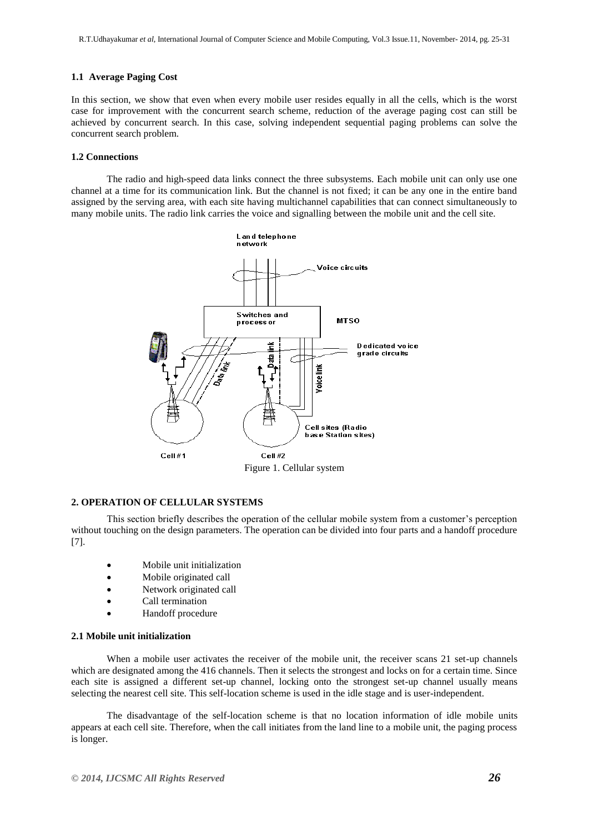## **1.1 Average Paging Cost**

In this section, we show that even when every mobile user resides equally in all the cells, which is the worst case for improvement with the concurrent search scheme, reduction of the average paging cost can still be achieved by concurrent search. In this case, solving independent sequential paging problems can solve the concurrent search problem.

#### **1.2 Connections**

The radio and high-speed data links connect the three subsystems. Each mobile unit can only use one channel at a time for its communication link. But the channel is not fixed; it can be any one in the entire band assigned by the serving area, with each site having multichannel capabilities that can connect simultaneously to many mobile units. The radio link carries the voice and signalling between the mobile unit and the cell site.



## **2. OPERATION OF CELLULAR SYSTEMS**

This section briefly describes the operation of the cellular mobile system from a customer's perception without touching on the design parameters. The operation can be divided into four parts and a handoff procedure [7].

- Mobile unit initialization
- Mobile originated call
- Network originated call
- Call termination
- Handoff procedure

#### **2.1 Mobile unit initialization**

When a mobile user activates the receiver of the mobile unit, the receiver scans 21 set-up channels which are designated among the 416 channels. Then it selects the strongest and locks on for a certain time. Since each site is assigned a different set-up channel, locking onto the strongest set-up channel usually means selecting the nearest cell site. This self-location scheme is used in the idle stage and is user-independent.

The disadvantage of the self-location scheme is that no location information of idle mobile units appears at each cell site. Therefore, when the call initiates from the land line to a mobile unit, the paging process is longer.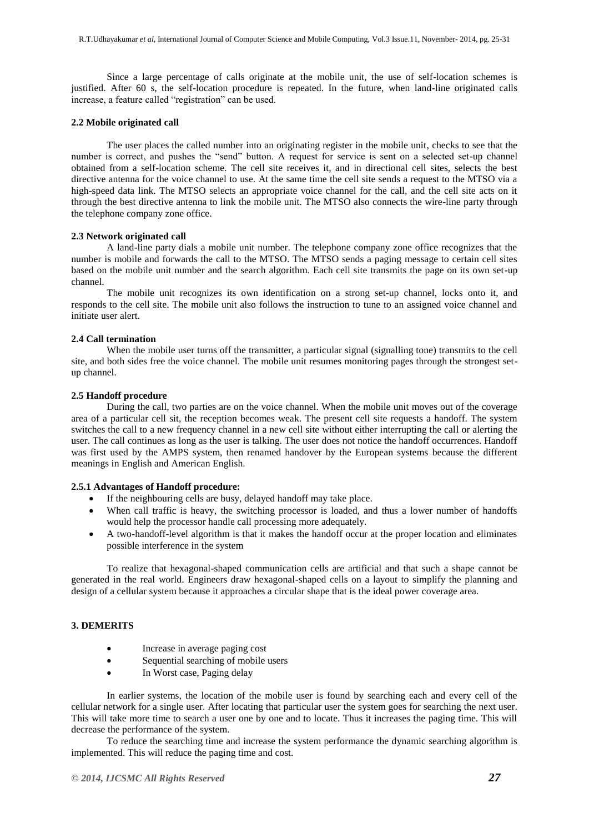Since a large percentage of calls originate at the mobile unit, the use of self-location schemes is justified. After 60 s, the self-location procedure is repeated. In the future, when land-line originated calls increase, a feature called "registration" can be used.

#### **2.2 Mobile originated call**

The user places the called number into an originating register in the mobile unit, checks to see that the number is correct, and pushes the "send" button. A request for service is sent on a selected set-up channel obtained from a self-location scheme. The cell site receives it, and in directional cell sites, selects the best directive antenna for the voice channel to use. At the same time the cell site sends a request to the MTSO via a high-speed data link. The MTSO selects an appropriate voice channel for the call, and the cell site acts on it through the best directive antenna to link the mobile unit. The MTSO also connects the wire-line party through the telephone company zone office.

#### **2.3 Network originated call**

A land-line party dials a mobile unit number. The telephone company zone office recognizes that the number is mobile and forwards the call to the MTSO. The MTSO sends a paging message to certain cell sites based on the mobile unit number and the search algorithm. Each cell site transmits the page on its own set-up channel.

The mobile unit recognizes its own identification on a strong set-up channel, locks onto it, and responds to the cell site. The mobile unit also follows the instruction to tune to an assigned voice channel and initiate user alert.

#### **2.4 Call termination**

When the mobile user turns off the transmitter, a particular signal (signalling tone) transmits to the cell site, and both sides free the voice channel. The mobile unit resumes monitoring pages through the strongest setup channel.

#### **2.5 Handoff procedure**

During the call, two parties are on the voice channel. When the mobile unit moves out of the coverage area of a particular cell sit, the reception becomes weak. The present cell site requests a handoff. The system switches the call to a new frequency channel in a new cell site without either interrupting the call or alerting the user. The call continues as long as the user is talking. The user does not notice the handoff occurrences. Handoff was first used by the AMPS system, then renamed handover by the European systems because the different meanings in English and American English.

#### **2.5.1 Advantages of Handoff procedure:**

- If the neighbouring cells are busy, delayed handoff may take place.
- When call traffic is heavy, the switching processor is loaded, and thus a lower number of handoffs would help the processor handle call processing more adequately.
- A two-handoff-level algorithm is that it makes the handoff occur at the proper location and eliminates possible interference in the system

To realize that hexagonal-shaped communication cells are artificial and that such a shape cannot be generated in the real world. Engineers draw hexagonal-shaped cells on a layout to simplify the planning and design of a cellular system because it approaches a circular shape that is the ideal power coverage area.

# **3. DEMERITS**

- Increase in average paging cost
- Sequential searching of mobile users
- In Worst case, Paging delay

In earlier systems, the location of the mobile user is found by searching each and every cell of the cellular network for a single user. After locating that particular user the system goes for searching the next user. This will take more time to search a user one by one and to locate. Thus it increases the paging time. This will decrease the performance of the system.

To reduce the searching time and increase the system performance the dynamic searching algorithm is implemented. This will reduce the paging time and cost.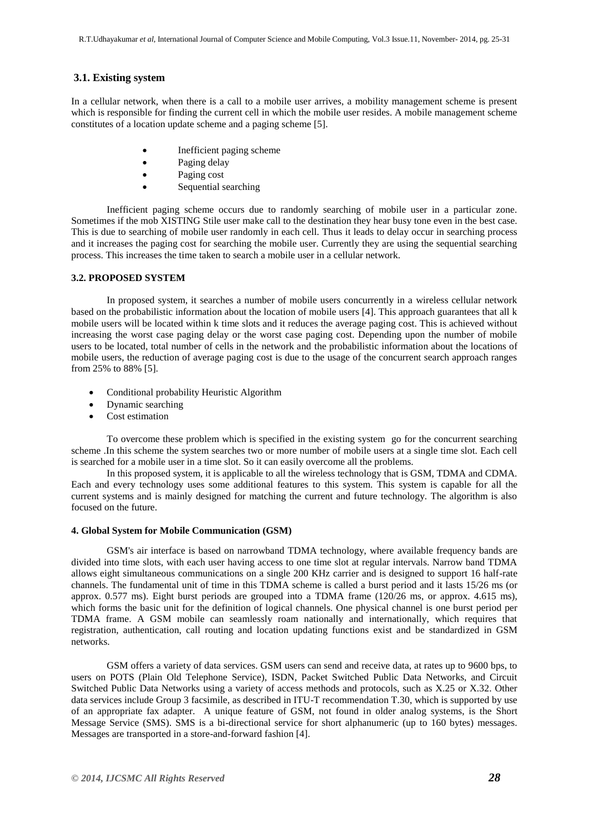# **3.1. Existing system**

In a cellular network, when there is a call to a mobile user arrives, a mobility management scheme is present which is responsible for finding the current cell in which the mobile user resides. A mobile management scheme constitutes of a location update scheme and a paging scheme [5].

- Inefficient paging scheme
- Paging delay
- Paging cost
- Sequential searching

Inefficient paging scheme occurs due to randomly searching of mobile user in a particular zone. Sometimes if the mob XISTING Stile user make call to the destination they hear busy tone even in the best case. This is due to searching of mobile user randomly in each cell. Thus it leads to delay occur in searching process and it increases the paging cost for searching the mobile user. Currently they are using the sequential searching process. This increases the time taken to search a mobile user in a cellular network.

## **3.2. PROPOSED SYSTEM**

In proposed system, it searches a number of mobile users concurrently in a wireless cellular network based on the probabilistic information about the location of mobile users [4]. This approach guarantees that all k mobile users will be located within k time slots and it reduces the average paging cost. This is achieved without increasing the worst case paging delay or the worst case paging cost. Depending upon the number of mobile users to be located, total number of cells in the network and the probabilistic information about the locations of mobile users, the reduction of average paging cost is due to the usage of the concurrent search approach ranges from 25% to 88% [5].

- Conditional probability Heuristic Algorithm
- Dynamic searching
- Cost estimation

To overcome these problem which is specified in the existing system go for the concurrent searching scheme .In this scheme the system searches two or more number of mobile users at a single time slot. Each cell is searched for a mobile user in a time slot. So it can easily overcome all the problems.

In this proposed system, it is applicable to all the wireless technology that is GSM, TDMA and CDMA. Each and every technology uses some additional features to this system. This system is capable for all the current systems and is mainly designed for matching the current and future technology. The algorithm is also focused on the future.

## **4. Global System for Mobile Communication (GSM)**

GSM's air interface is based on narrowband TDMA technology, where available frequency bands are divided into time slots, with each user having access to one time slot at regular intervals. Narrow band TDMA allows eight simultaneous communications on a single 200 KHz carrier and is designed to support 16 half-rate channels. The fundamental unit of time in this TDMA scheme is called a burst period and it lasts 15/26 ms (or approx. 0.577 ms). Eight burst periods are grouped into a TDMA frame (120/26 ms, or approx. 4.615 ms), which forms the basic unit for the definition of logical channels. One physical channel is one burst period per TDMA frame. A GSM mobile can seamlessly roam nationally and internationally, which requires that registration, authentication, call routing and location updating functions exist and be standardized in GSM networks.

GSM offers a variety of data services. GSM users can send and receive data, at rates up to 9600 bps, to users on POTS (Plain Old Telephone Service), ISDN, Packet Switched Public Data Networks, and Circuit Switched Public Data Networks using a variety of access methods and protocols, such as X.25 or X.32. Other data services include Group 3 facsimile, as described in ITU-T recommendation T.30, which is supported by use of an appropriate fax adapter. A unique feature of GSM, not found in older analog systems, is the Short Message Service (SMS). SMS is a bi-directional service for short alphanumeric (up to 160 bytes) messages. Messages are transported in a store-and-forward fashion [4].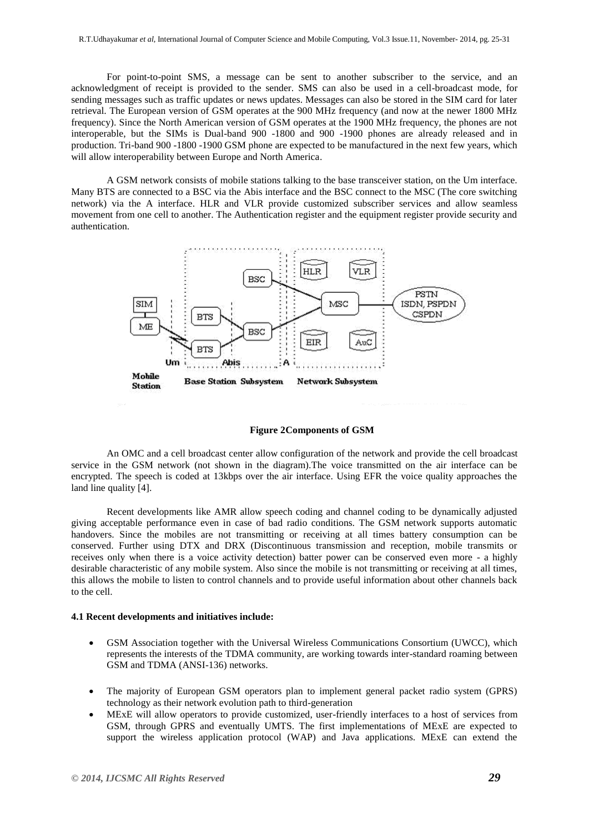For point-to-point SMS, a message can be sent to another subscriber to the service, and an acknowledgment of receipt is provided to the sender. SMS can also be used in a cell-broadcast mode, for sending messages such as traffic updates or news updates. Messages can also be stored in the SIM card for later retrieval. The European version of GSM operates at the 900 MHz frequency (and now at the newer 1800 MHz frequency). Since the North American version of GSM operates at the 1900 MHz frequency, the phones are not interoperable, but the SIMs is Dual-band 900 -1800 and 900 -1900 phones are already released and in production. Tri-band 900 -1800 -1900 GSM phone are expected to be manufactured in the next few years, which will allow interoperability between Europe and North America.

A GSM network consists of mobile stations talking to the base transceiver station, on the Um interface. Many BTS are connected to a BSC via the Abis interface and the BSC connect to the MSC (The core switching network) via the A interface. HLR and VLR provide customized subscriber services and allow seamless movement from one cell to another. The Authentication register and the equipment register provide security and authentication.



**Figure 2Components of GSM**

An OMC and a cell broadcast center allow configuration of the network and provide the cell broadcast service in the GSM network (not shown in the diagram).The voice transmitted on the air interface can be encrypted. The speech is coded at 13kbps over the air interface. Using EFR the voice quality approaches the land line quality [4].

Recent developments like AMR allow speech coding and channel coding to be dynamically adjusted giving acceptable performance even in case of bad radio conditions. The GSM network supports automatic handovers. Since the mobiles are not transmitting or receiving at all times battery consumption can be conserved. Further using DTX and DRX (Discontinuous transmission and reception, mobile transmits or receives only when there is a voice activity detection) batter power can be conserved even more - a highly desirable characteristic of any mobile system. Also since the mobile is not transmitting or receiving at all times, this allows the mobile to listen to control channels and to provide useful information about other channels back to the cell.

#### **4.1 Recent developments and initiatives include:**

- GSM Association together with the Universal Wireless Communications Consortium (UWCC), which represents the interests of the TDMA community, are working towards inter-standard roaming between GSM and TDMA (ANSI-136) networks.
- The majority of European GSM operators plan to implement general packet radio system (GPRS) technology as their network evolution path to third-generation
- MExE will allow operators to provide customized, user-friendly interfaces to a host of services from GSM, through GPRS and eventually UMTS. The first implementations of MExE are expected to support the wireless application protocol (WAP) and Java applications. MExE can extend the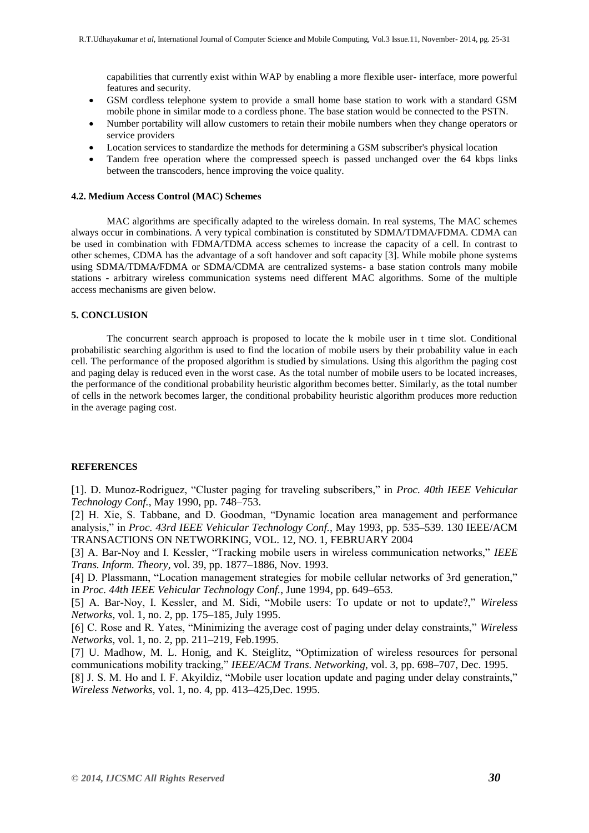capabilities that currently exist within WAP by enabling a more flexible user- interface, more powerful features and security.

- GSM cordless telephone system to provide a small home base station to work with a standard GSM mobile phone in similar mode to a cordless phone. The base station would be connected to the PSTN.
- Number portability will allow customers to retain their mobile numbers when they change operators or service providers
- Location services to standardize the methods for determining a GSM subscriber's physical location
- Tandem free operation where the compressed speech is passed unchanged over the 64 kbps links between the transcoders, hence improving the voice quality.

#### **4.2. Medium Access Control (MAC) Schemes**

MAC algorithms are specifically adapted to the wireless domain. In real systems, The MAC schemes always occur in combinations. A very typical combination is constituted by SDMA/TDMA/FDMA. CDMA can be used in combination with FDMA/TDMA access schemes to increase the capacity of a cell. In contrast to other schemes, CDMA has the advantage of a soft handover and soft capacity [3]. While mobile phone systems using SDMA/TDMA/FDMA or SDMA/CDMA are centralized systems- a base station controls many mobile stations - arbitrary wireless communication systems need different MAC algorithms. Some of the multiple access mechanisms are given below.

#### **5. CONCLUSION**

The concurrent search approach is proposed to locate the k mobile user in t time slot. Conditional probabilistic searching algorithm is used to find the location of mobile users by their probability value in each cell. The performance of the proposed algorithm is studied by simulations. Using this algorithm the paging cost and paging delay is reduced even in the worst case. As the total number of mobile users to be located increases, the performance of the conditional probability heuristic algorithm becomes better. Similarly, as the total number of cells in the network becomes larger, the conditional probability heuristic algorithm produces more reduction in the average paging cost.

#### **REFERENCES**

[1]. D. Munoz-Rodriguez, "Cluster paging for traveling subscribers," in *Proc. 40th IEEE Vehicular Technology Conf.*, May 1990, pp. 748–753.

[2] H. Xie, S. Tabbane, and D. Goodman, "Dynamic location area management and performance analysis," in *Proc. 43rd IEEE Vehicular Technology Conf.*, May 1993, pp. 535–539. 130 IEEE/ACM TRANSACTIONS ON NETWORKING, VOL. 12, NO. 1, FEBRUARY 2004

[3] A. Bar-Noy and I. Kessler, "Tracking mobile users in wireless communication networks," *IEEE Trans. Inform. Theory*, vol. 39, pp. 1877–1886, Nov. 1993.

[4] D. Plassmann, "Location management strategies for mobile cellular networks of 3rd generation," in *Proc. 44th IEEE Vehicular Technology Conf.*, June 1994, pp. 649–653.

[5] A. Bar-Noy, I. Kessler, and M. Sidi, "Mobile users: To update or not to update?," *Wireless Networks*, vol. 1, no. 2, pp. 175–185, July 1995.

[6] C. Rose and R. Yates, "Minimizing the average cost of paging under delay constraints," *Wireless Networks*, vol. 1, no. 2, pp. 211–219, Feb.1995.

[7] U. Madhow, M. L. Honig, and K. Steiglitz, "Optimization of wireless resources for personal communications mobility tracking," *IEEE/ACM Trans. Networking*, vol. 3, pp. 698–707, Dec. 1995.

[8] J. S. M. Ho and I. F. Akyildiz, "Mobile user location update and paging under delay constraints," *Wireless Networks*, vol. 1, no. 4, pp. 413–425,Dec. 1995.